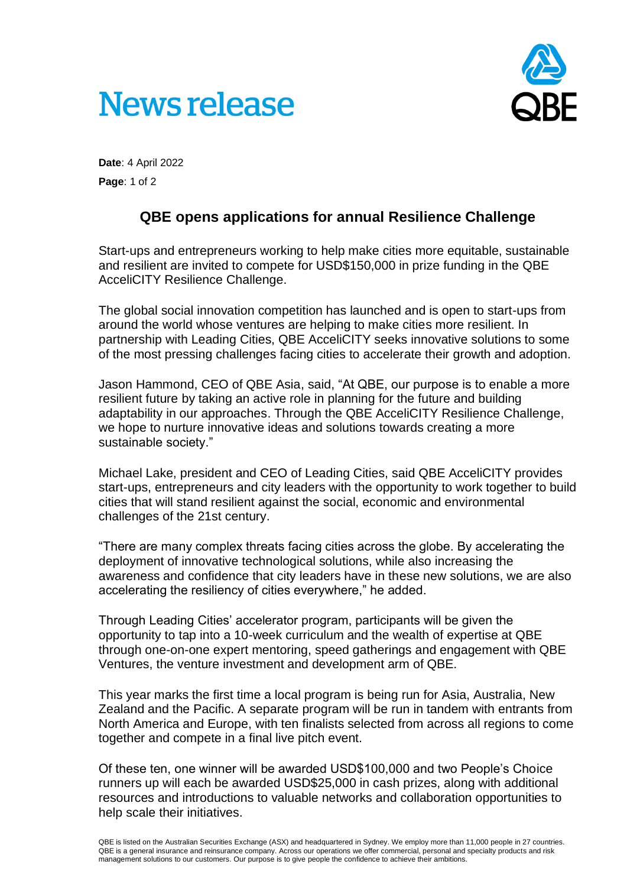



**Date**: 4 April 2022 **Page**: 1 of 2

## **QBE opens applications for annual Resilience Challenge**

Start-ups and entrepreneurs working to help make cities more equitable, sustainable and resilient are invited to compete for USD\$150,000 in prize funding in the QBE AcceliCITY Resilience Challenge.

The global social innovation competition has launched and is open to start-ups from around the world whose ventures are helping to make cities more resilient. In partnership with Leading Cities, QBE AcceliCITY seeks innovative solutions to some of the most pressing challenges facing cities to accelerate their growth and adoption.

Jason Hammond, CEO of QBE Asia, said, "At QBE, our purpose is to enable a more resilient future by taking an active role in planning for the future and building adaptability in our approaches. Through the QBE AcceliCITY Resilience Challenge, we hope to nurture innovative ideas and solutions towards creating a more sustainable society."

Michael Lake, president and CEO of Leading Cities, said QBE AcceliCITY provides start-ups, entrepreneurs and city leaders with the opportunity to work together to build cities that will stand resilient against the social, economic and environmental challenges of the 21st century.

"There are many complex threats facing cities across the globe. By accelerating the deployment of innovative technological solutions, while also increasing the awareness and confidence that city leaders have in these new solutions, we are also accelerating the resiliency of cities everywhere," he added.

Through Leading Cities' accelerator program, participants will be given the opportunity to tap into a 10-week curriculum and the wealth of expertise at QBE through one-on-one expert mentoring, speed gatherings and engagement with QBE Ventures, the venture investment and development arm of QBE.

This year marks the first time a local program is being run for Asia, Australia, New Zealand and the Pacific. A separate program will be run in tandem with entrants from North America and Europe, with ten finalists selected from across all regions to come together and compete in a final live pitch event.

Of these ten, one winner will be awarded USD\$100,000 and two People's Choice runners up will each be awarded USD\$25,000 in cash prizes, along with additional resources and introductions to valuable networks and collaboration opportunities to help scale their initiatives.